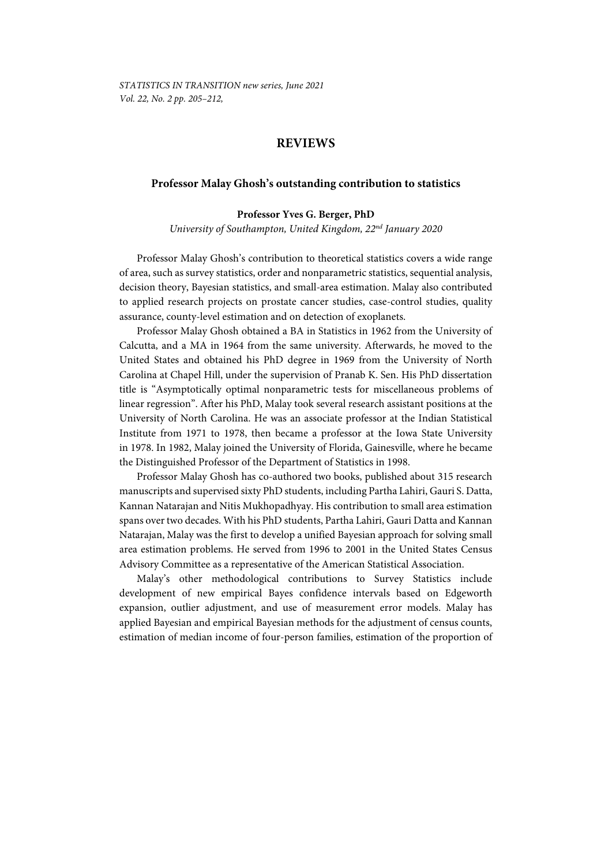## **REVIEWS**

## **Professor Malay Ghosh's outstanding contribution to statistics**

## **Professor Yves G. Berger, PhD**

*University of Southampton, United Kingdom, 22nd January 2020* 

Professor Malay Ghosh's contribution to theoretical statistics covers a wide range of area, such as survey statistics, order and nonparametric statistics, sequential analysis, decision theory, Bayesian statistics, and small-area estimation. Malay also contributed to applied research projects on prostate cancer studies, case-control studies, quality assurance, county-level estimation and on detection of exoplanets.

Professor Malay Ghosh obtained a BA in Statistics in 1962 from the University of Calcutta, and a MA in 1964 from the same university. Afterwards, he moved to the United States and obtained his PhD degree in 1969 from the University of North Carolina at Chapel Hill, under the supervision of Pranab K. Sen. His PhD dissertation title is "Asymptotically optimal nonparametric tests for miscellaneous problems of linear regression". After his PhD, Malay took several research assistant positions at the University of North Carolina. He was an associate professor at the Indian Statistical Institute from 1971 to 1978, then became a professor at the Iowa State University in 1978. In 1982, Malay joined the University of Florida, Gainesville, where he became the Distinguished Professor of the Department of Statistics in 1998.

Professor Malay Ghosh has co-authored two books, published about 315 research manuscripts and supervised sixty PhD students, including Partha Lahiri, Gauri S. Datta, Kannan Natarajan and Nitis Mukhopadhyay. His contribution to small area estimation spans over two decades. With his PhD students, Partha Lahiri, Gauri Datta and Kannan Natarajan, Malay was the first to develop a unified Bayesian approach for solving small area estimation problems. He served from 1996 to 2001 in the United States Census Advisory Committee as a representative of the American Statistical Association.

Malay's other methodological contributions to Survey Statistics include development of new empirical Bayes confidence intervals based on Edgeworth expansion, outlier adjustment, and use of measurement error models. Malay has applied Bayesian and empirical Bayesian methods for the adjustment of census counts, estimation of median income of four-person families, estimation of the proportion of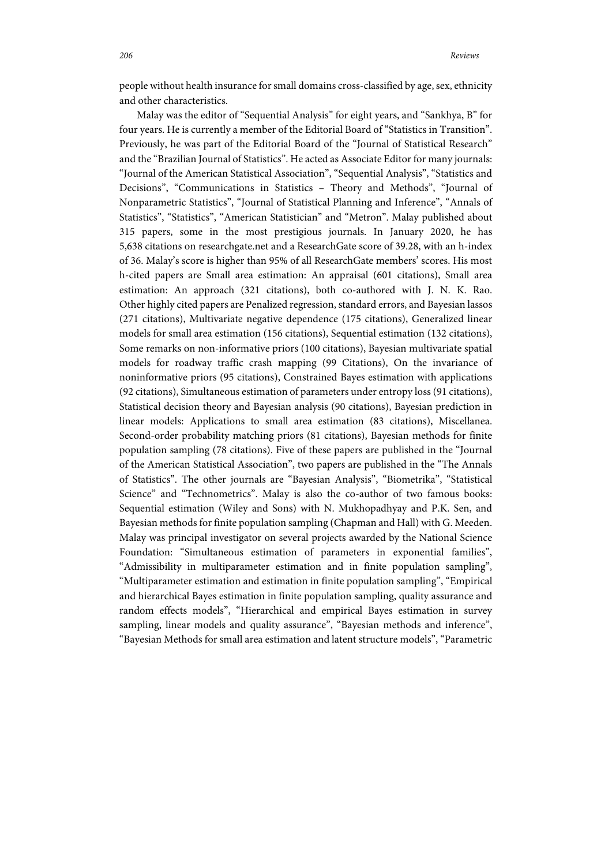people without health insurance for small domains cross-classified by age, sex, ethnicity and other characteristics.

Malay was the editor of "Sequential Analysis" for eight years, and "Sankhya, B" for four years. He is currently a member of the Editorial Board of "Statistics in Transition". Previously, he was part of the Editorial Board of the "Journal of Statistical Research" and the "Brazilian Journal of Statistics". He acted as Associate Editor for many journals: "Journal of the American Statistical Association", "Sequential Analysis", "Statistics and Decisions", "Communications in Statistics – Theory and Methods", "Journal of Nonparametric Statistics", "Journal of Statistical Planning and Inference", "Annals of Statistics", "Statistics", "American Statistician" and "Metron". Malay published about 315 papers, some in the most prestigious journals. In January 2020, he has 5,638 citations on researchgate.net and a ResearchGate score of 39.28, with an h-index of 36. Malay's score is higher than 95% of all ResearchGate members' scores. His most h-cited papers are Small area estimation: An appraisal (601 citations), Small area estimation: An approach (321 citations), both co-authored with J. N. K. Rao. Other highly cited papers are Penalized regression, standard errors, and Bayesian lassos (271 citations), Multivariate negative dependence (175 citations), Generalized linear models for small area estimation (156 citations), Sequential estimation (132 citations), Some remarks on non-informative priors (100 citations), Bayesian multivariate spatial models for roadway traffic crash mapping (99 Citations), On the invariance of noninformative priors (95 citations), Constrained Bayes estimation with applications (92 citations), Simultaneous estimation of parameters under entropy loss (91 citations), Statistical decision theory and Bayesian analysis (90 citations), Bayesian prediction in linear models: Applications to small area estimation (83 citations), Miscellanea. Second-order probability matching priors (81 citations), Bayesian methods for finite population sampling (78 citations). Five of these papers are published in the "Journal of the American Statistical Association", two papers are published in the "The Annals of Statistics". The other journals are "Bayesian Analysis", "Biometrika", "Statistical Science" and "Technometrics". Malay is also the co-author of two famous books: Sequential estimation (Wiley and Sons) with N. Mukhopadhyay and P.K. Sen, and Bayesian methods for finite population sampling (Chapman and Hall) with G. Meeden. Malay was principal investigator on several projects awarded by the National Science Foundation: "Simultaneous estimation of parameters in exponential families", "Admissibility in multiparameter estimation and in finite population sampling", "Multiparameter estimation and estimation in finite population sampling", "Empirical and hierarchical Bayes estimation in finite population sampling, quality assurance and random effects models", "Hierarchical and empirical Bayes estimation in survey sampling, linear models and quality assurance", "Bayesian methods and inference", "Bayesian Methods for small area estimation and latent structure models", "Parametric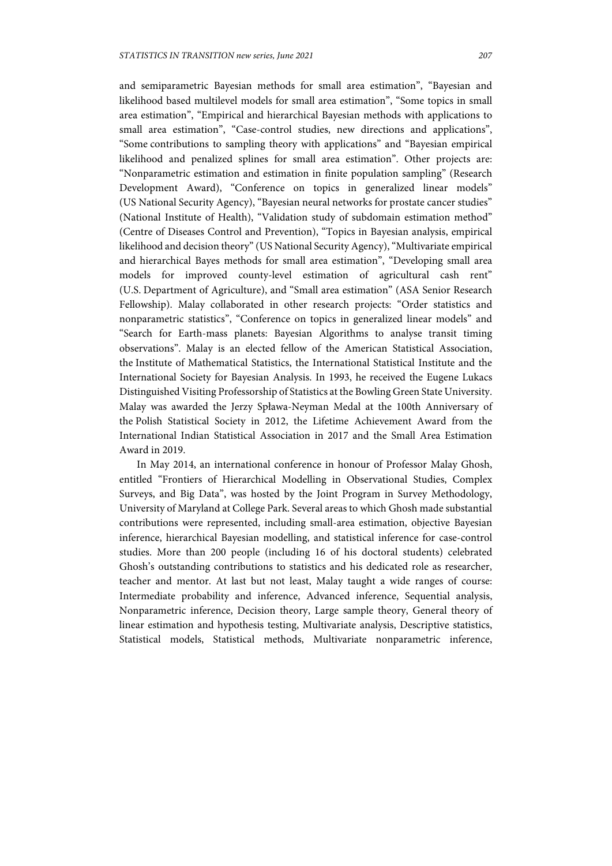and semiparametric Bayesian methods for small area estimation", "Bayesian and likelihood based multilevel models for small area estimation", "Some topics in small area estimation", "Empirical and hierarchical Bayesian methods with applications to small area estimation", "Case-control studies, new directions and applications", "Some contributions to sampling theory with applications" and "Bayesian empirical likelihood and penalized splines for small area estimation". Other projects are: "Nonparametric estimation and estimation in finite population sampling" (Research Development Award), "Conference on topics in generalized linear models" (US National Security Agency), "Bayesian neural networks for prostate cancer studies" (National Institute of Health), "Validation study of subdomain estimation method" (Centre of Diseases Control and Prevention), "Topics in Bayesian analysis, empirical likelihood and decision theory" (US National Security Agency), "Multivariate empirical and hierarchical Bayes methods for small area estimation", "Developing small area models for improved county-level estimation of agricultural cash rent" (U.S. Department of Agriculture), and "Small area estimation" (ASA Senior Research Fellowship). Malay collaborated in other research projects: "Order statistics and nonparametric statistics", "Conference on topics in generalized linear models" and "Search for Earth-mass planets: Bayesian Algorithms to analyse transit timing observations". Malay is an elected fellow of the American Statistical Association, the Institute of Mathematical Statistics, the International Statistical Institute and the International Society for Bayesian Analysis. In 1993, he received the Eugene Lukacs Distinguished Visiting Professorship of Statistics at the Bowling Green State University. Malay was awarded the Jerzy Spława-Neyman Medal at the 100th Anniversary of the Polish Statistical Society in 2012, the Lifetime Achievement Award from the International Indian Statistical Association in 2017 and the Small Area Estimation Award in 2019.

In May 2014, an international conference in honour of Professor Malay Ghosh, entitled "Frontiers of Hierarchical Modelling in Observational Studies, Complex Surveys, and Big Data", was hosted by the Joint Program in Survey Methodology, University of Maryland at College Park. Several areas to which Ghosh made substantial contributions were represented, including small-area estimation, objective Bayesian inference, hierarchical Bayesian modelling, and statistical inference for case-control studies. More than 200 people (including 16 of his doctoral students) celebrated Ghosh's outstanding contributions to statistics and his dedicated role as researcher, teacher and mentor. At last but not least, Malay taught a wide ranges of course: Intermediate probability and inference, Advanced inference, Sequential analysis, Nonparametric inference, Decision theory, Large sample theory, General theory of linear estimation and hypothesis testing, Multivariate analysis, Descriptive statistics, Statistical models, Statistical methods, Multivariate nonparametric inference,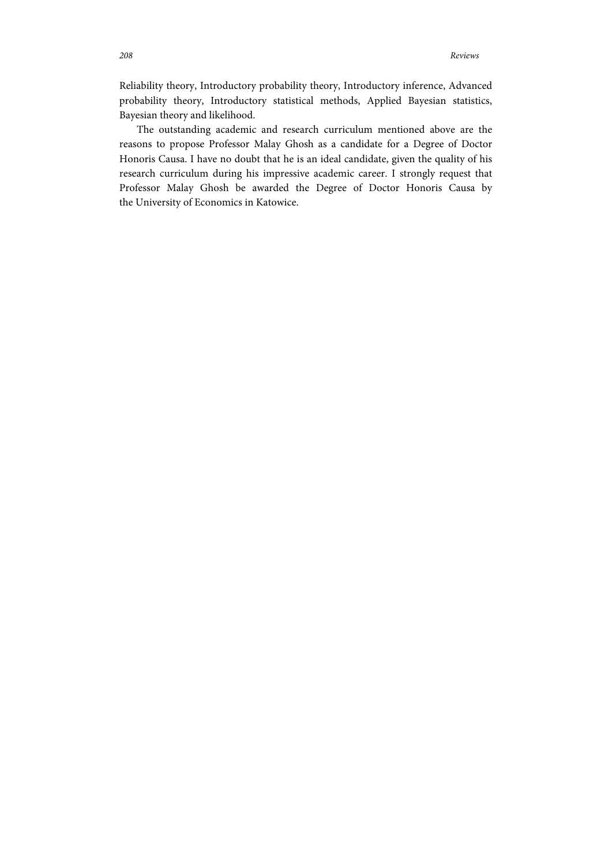Reliability theory, Introductory probability theory, Introductory inference, Advanced probability theory, Introductory statistical methods, Applied Bayesian statistics, Bayesian theory and likelihood.

The outstanding academic and research curriculum mentioned above are the reasons to propose Professor Malay Ghosh as a candidate for a Degree of Doctor Honoris Causa. I have no doubt that he is an ideal candidate, given the quality of his research curriculum during his impressive academic career. I strongly request that Professor Malay Ghosh be awarded the Degree of Doctor Honoris Causa by the University of Economics in Katowice.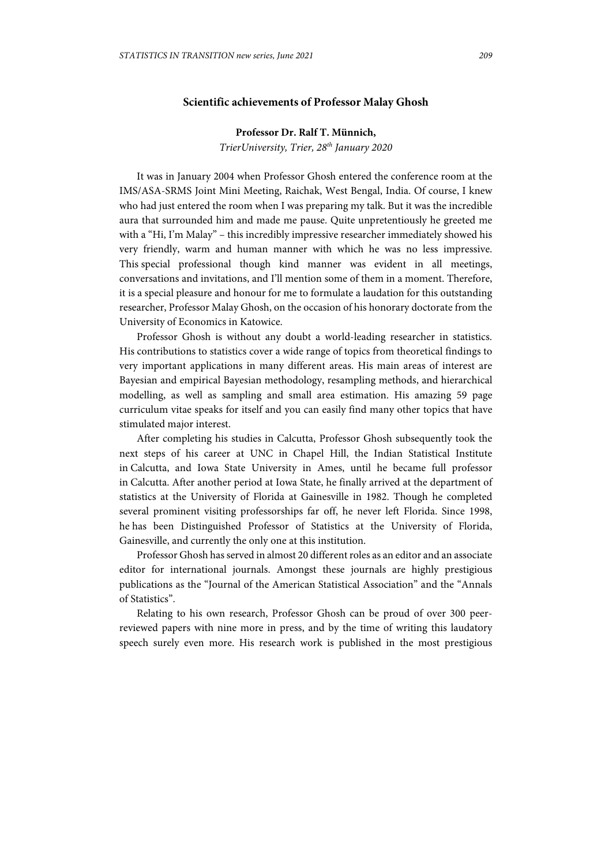## **Scientific achievements of Professor Malay Ghosh**

**Professor Dr. Ralf T. Münnich,**  *TrierUniversity, Trier, 28th January 2020*

It was in January 2004 when Professor Ghosh entered the conference room at the IMS/ASA-SRMS Joint Mini Meeting, Raichak, West Bengal, India. Of course, I knew who had just entered the room when I was preparing my talk. But it was the incredible aura that surrounded him and made me pause. Quite unpretentiously he greeted me with a "Hi, I'm Malay" – this incredibly impressive researcher immediately showed his very friendly, warm and human manner with which he was no less impressive. This special professional though kind manner was evident in all meetings, conversations and invitations, and I'll mention some of them in a moment. Therefore, it is a special pleasure and honour for me to formulate a laudation for this outstanding researcher, Professor Malay Ghosh, on the occasion of his honorary doctorate from the University of Economics in Katowice.

Professor Ghosh is without any doubt a world-leading researcher in statistics. His contributions to statistics cover a wide range of topics from theoretical findings to very important applications in many different areas. His main areas of interest are Bayesian and empirical Bayesian methodology, resampling methods, and hierarchical modelling, as well as sampling and small area estimation. His amazing 59 page curriculum vitae speaks for itself and you can easily find many other topics that have stimulated major interest.

After completing his studies in Calcutta, Professor Ghosh subsequently took the next steps of his career at UNC in Chapel Hill, the Indian Statistical Institute in Calcutta, and Iowa State University in Ames, until he became full professor in Calcutta. After another period at Iowa State, he finally arrived at the department of statistics at the University of Florida at Gainesville in 1982. Though he completed several prominent visiting professorships far off, he never left Florida. Since 1998, he has been Distinguished Professor of Statistics at the University of Florida, Gainesville, and currently the only one at this institution.

Professor Ghosh has served in almost 20 different roles as an editor and an associate editor for international journals. Amongst these journals are highly prestigious publications as the "Journal of the American Statistical Association" and the "Annals of Statistics".

Relating to his own research, Professor Ghosh can be proud of over 300 peerreviewed papers with nine more in press, and by the time of writing this laudatory speech surely even more. His research work is published in the most prestigious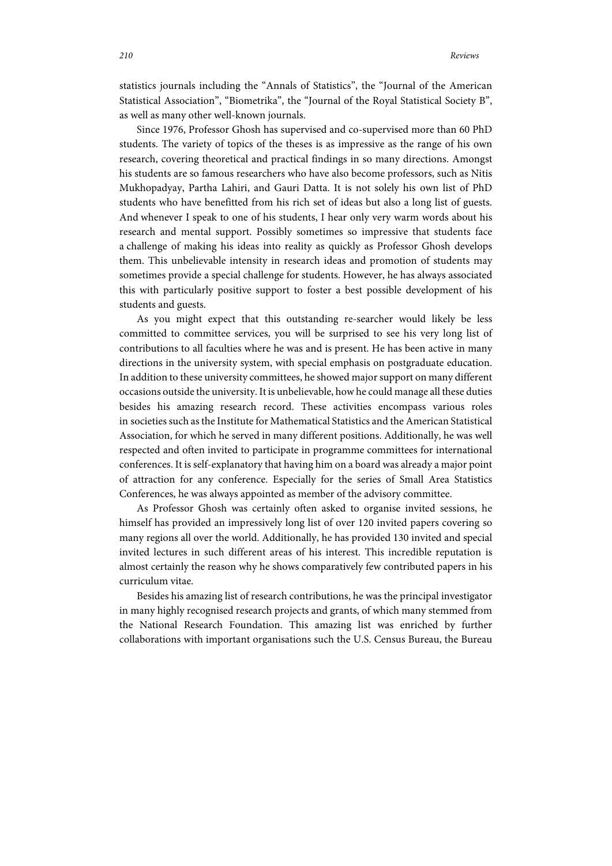statistics journals including the "Annals of Statistics", the "Journal of the American Statistical Association", "Biometrika", the "Journal of the Royal Statistical Society B", as well as many other well-known journals.

Since 1976, Professor Ghosh has supervised and co-supervised more than 60 PhD students. The variety of topics of the theses is as impressive as the range of his own research, covering theoretical and practical findings in so many directions. Amongst his students are so famous researchers who have also become professors, such as Nitis Mukhopadyay, Partha Lahiri, and Gauri Datta. It is not solely his own list of PhD students who have benefitted from his rich set of ideas but also a long list of guests. And whenever I speak to one of his students, I hear only very warm words about his research and mental support. Possibly sometimes so impressive that students face a challenge of making his ideas into reality as quickly as Professor Ghosh develops them. This unbelievable intensity in research ideas and promotion of students may sometimes provide a special challenge for students. However, he has always associated this with particularly positive support to foster a best possible development of his students and guests.

As you might expect that this outstanding re-searcher would likely be less committed to committee services, you will be surprised to see his very long list of contributions to all faculties where he was and is present. He has been active in many directions in the university system, with special emphasis on postgraduate education. In addition to these university committees, he showed major support on many different occasions outside the university. It is unbelievable, how he could manage all these duties besides his amazing research record. These activities encompass various roles in societies such as the Institute for Mathematical Statistics and the American Statistical Association, for which he served in many different positions. Additionally, he was well respected and often invited to participate in programme committees for international conferences. It is self-explanatory that having him on a board was already a major point of attraction for any conference. Especially for the series of Small Area Statistics Conferences, he was always appointed as member of the advisory committee.

As Professor Ghosh was certainly often asked to organise invited sessions, he himself has provided an impressively long list of over 120 invited papers covering so many regions all over the world. Additionally, he has provided 130 invited and special invited lectures in such different areas of his interest. This incredible reputation is almost certainly the reason why he shows comparatively few contributed papers in his curriculum vitae.

Besides his amazing list of research contributions, he was the principal investigator in many highly recognised research projects and grants, of which many stemmed from the National Research Foundation. This amazing list was enriched by further collaborations with important organisations such the U.S. Census Bureau, the Bureau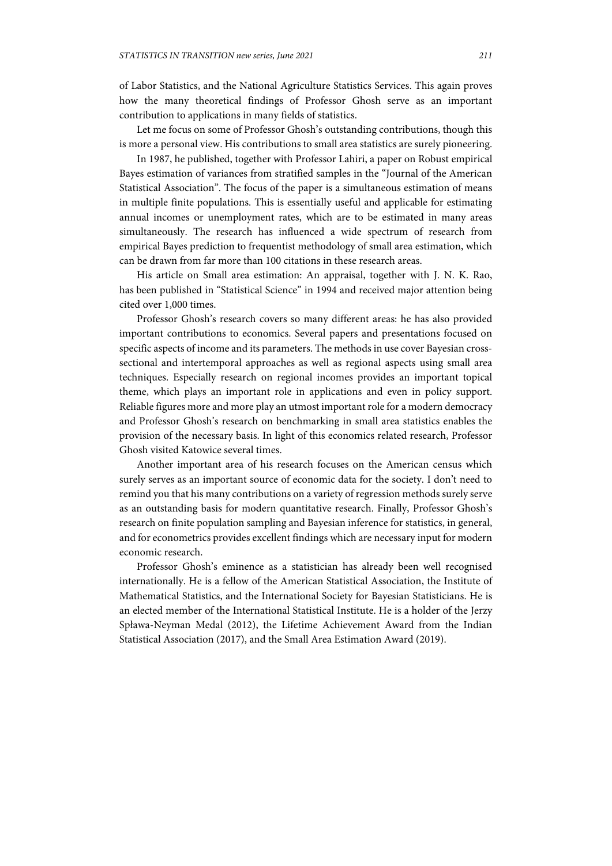of Labor Statistics, and the National Agriculture Statistics Services. This again proves how the many theoretical findings of Professor Ghosh serve as an important contribution to applications in many fields of statistics.

Let me focus on some of Professor Ghosh's outstanding contributions, though this is more a personal view. His contributions to small area statistics are surely pioneering.

In 1987, he published, together with Professor Lahiri, a paper on Robust empirical Bayes estimation of variances from stratified samples in the "Journal of the American Statistical Association". The focus of the paper is a simultaneous estimation of means in multiple finite populations. This is essentially useful and applicable for estimating annual incomes or unemployment rates, which are to be estimated in many areas simultaneously. The research has influenced a wide spectrum of research from empirical Bayes prediction to frequentist methodology of small area estimation, which can be drawn from far more than 100 citations in these research areas.

His article on Small area estimation: An appraisal, together with J. N. K. Rao, has been published in "Statistical Science" in 1994 and received major attention being cited over 1,000 times.

Professor Ghosh's research covers so many different areas: he has also provided important contributions to economics. Several papers and presentations focused on specific aspects of income and its parameters. The methods in use cover Bayesian crosssectional and intertemporal approaches as well as regional aspects using small area techniques. Especially research on regional incomes provides an important topical theme, which plays an important role in applications and even in policy support. Reliable figures more and more play an utmost important role for a modern democracy and Professor Ghosh's research on benchmarking in small area statistics enables the provision of the necessary basis. In light of this economics related research, Professor Ghosh visited Katowice several times.

Another important area of his research focuses on the American census which surely serves as an important source of economic data for the society. I don't need to remind you that his many contributions on a variety of regression methods surely serve as an outstanding basis for modern quantitative research. Finally, Professor Ghosh's research on finite population sampling and Bayesian inference for statistics, in general, and for econometrics provides excellent findings which are necessary input for modern economic research.

Professor Ghosh's eminence as a statistician has already been well recognised internationally. He is a fellow of the American Statistical Association, the Institute of Mathematical Statistics, and the International Society for Bayesian Statisticians. He is an elected member of the International Statistical Institute. He is a holder of the Jerzy Spława-Neyman Medal (2012), the Lifetime Achievement Award from the Indian Statistical Association (2017), and the Small Area Estimation Award (2019).